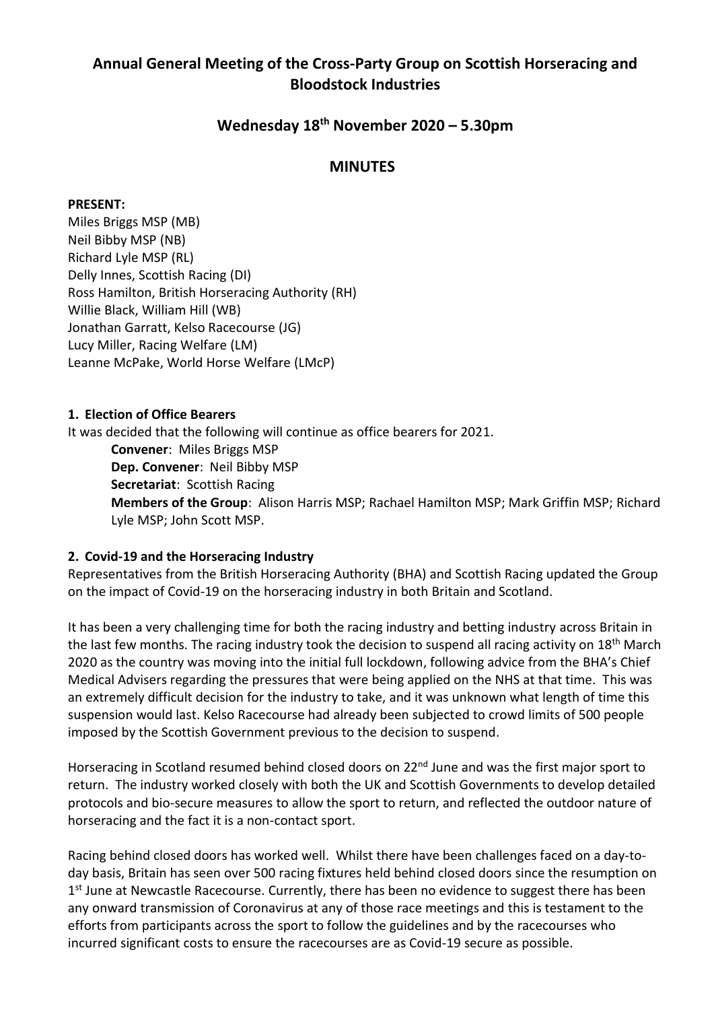# **Annual General Meeting of the Cross-Party Group on Scottish Horseracing and Bloodstock Industries**

## **Wednesday 18 th November 2020 – 5.30pm**

### **MINUTES**

#### **PRESENT:**

Miles Briggs MSP (MB) Neil Bibby MSP (NB) Richard Lyle MSP (RL) Delly Innes, Scottish Racing (DI) Ross Hamilton, British Horseracing Authority (RH) Willie Black, William Hill (WB) Jonathan Garratt, Kelso Racecourse (JG) Lucy Miller, Racing Welfare (LM) Leanne McPake, World Horse Welfare (LMcP)

#### **1. Election of Office Bearers**

It was decided that the following will continue as office bearers for 2021.

**Convener**: Miles Briggs MSP **Dep. Convener**: Neil Bibby MSP **Secretariat**: Scottish Racing **Members of the Group**: Alison Harris MSP; Rachael Hamilton MSP; Mark Griffin MSP; Richard Lyle MSP; John Scott MSP.

#### **2. Covid-19 and the Horseracing Industry**

Representatives from the British Horseracing Authority (BHA) and Scottish Racing updated the Group on the impact of Covid-19 on the horseracing industry in both Britain and Scotland.

It has been a very challenging time for both the racing industry and betting industry across Britain in the last few months. The racing industry took the decision to suspend all racing activity on 18<sup>th</sup> March 2020 as the country was moving into the initial full lockdown, following advice from the BHA's Chief Medical Advisers regarding the pressures that were being applied on the NHS at that time. This was an extremely difficult decision for the industry to take, and it was unknown what length of time this suspension would last. Kelso Racecourse had already been subjected to crowd limits of 500 people imposed by the Scottish Government previous to the decision to suspend.

Horseracing in Scotland resumed behind closed doors on 22<sup>nd</sup> June and was the first major sport to return. The industry worked closely with both the UK and Scottish Governments to develop detailed protocols and bio-secure measures to allow the sport to return, and reflected the outdoor nature of horseracing and the fact it is a non-contact sport.

Racing behind closed doors has worked well. Whilst there have been challenges faced on a day-today basis, Britain has seen over 500 racing fixtures held behind closed doors since the resumption on 1<sup>st</sup> June at Newcastle Racecourse. Currently, there has been no evidence to suggest there has been any onward transmission of Coronavirus at any of those race meetings and this is testament to the efforts from participants across the sport to follow the guidelines and by the racecourses who incurred significant costs to ensure the racecourses are as Covid-19 secure as possible.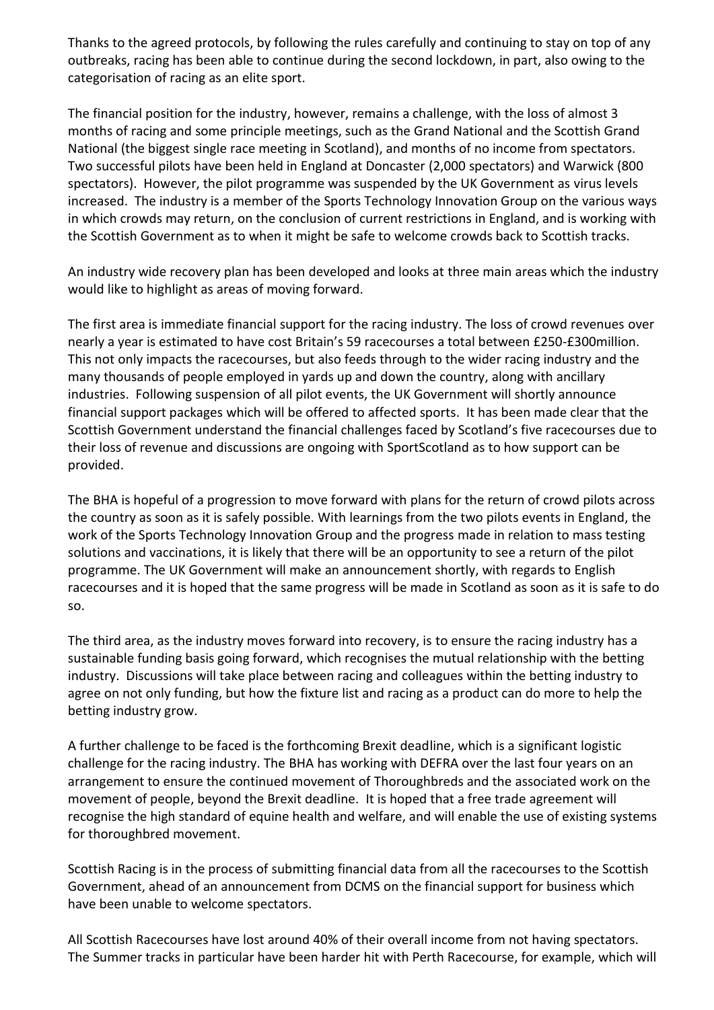Thanks to the agreed protocols, by following the rules carefully and continuing to stay on top of any outbreaks, racing has been able to continue during the second lockdown, in part, also owing to the categorisation of racing as an elite sport.

The financial position for the industry, however, remains a challenge, with the loss of almost 3 months of racing and some principle meetings, such as the Grand National and the Scottish Grand National (the biggest single race meeting in Scotland), and months of no income from spectators. Two successful pilots have been held in England at Doncaster (2,000 spectators) and Warwick (800 spectators). However, the pilot programme was suspended by the UK Government as virus levels increased. The industry is a member of the Sports Technology Innovation Group on the various ways in which crowds may return, on the conclusion of current restrictions in England, and is working with the Scottish Government as to when it might be safe to welcome crowds back to Scottish tracks.

An industry wide recovery plan has been developed and looks at three main areas which the industry would like to highlight as areas of moving forward.

The first area is immediate financial support for the racing industry. The loss of crowd revenues over nearly a year is estimated to have cost Britain's 59 racecourses a total between £250-£300million. This not only impacts the racecourses, but also feeds through to the wider racing industry and the many thousands of people employed in yards up and down the country, along with ancillary industries. Following suspension of all pilot events, the UK Government will shortly announce financial support packages which will be offered to affected sports. It has been made clear that the Scottish Government understand the financial challenges faced by Scotland's five racecourses due to their loss of revenue and discussions are ongoing with SportScotland as to how support can be provided.

The BHA is hopeful of a progression to move forward with plans for the return of crowd pilots across the country as soon as it is safely possible. With learnings from the two pilots events in England, the work of the Sports Technology Innovation Group and the progress made in relation to mass testing solutions and vaccinations, it is likely that there will be an opportunity to see a return of the pilot programme. The UK Government will make an announcement shortly, with regards to English racecourses and it is hoped that the same progress will be made in Scotland as soon as it is safe to do so.

The third area, as the industry moves forward into recovery, is to ensure the racing industry has a sustainable funding basis going forward, which recognises the mutual relationship with the betting industry. Discussions will take place between racing and colleagues within the betting industry to agree on not only funding, but how the fixture list and racing as a product can do more to help the betting industry grow.

A further challenge to be faced is the forthcoming Brexit deadline, which is a significant logistic challenge for the racing industry. The BHA has working with DEFRA over the last four years on an arrangement to ensure the continued movement of Thoroughbreds and the associated work on the movement of people, beyond the Brexit deadline. It is hoped that a free trade agreement will recognise the high standard of equine health and welfare, and will enable the use of existing systems for thoroughbred movement.

Scottish Racing is in the process of submitting financial data from all the racecourses to the Scottish Government, ahead of an announcement from DCMS on the financial support for business which have been unable to welcome spectators.

All Scottish Racecourses have lost around 40% of their overall income from not having spectators. The Summer tracks in particular have been harder hit with Perth Racecourse, for example, which will